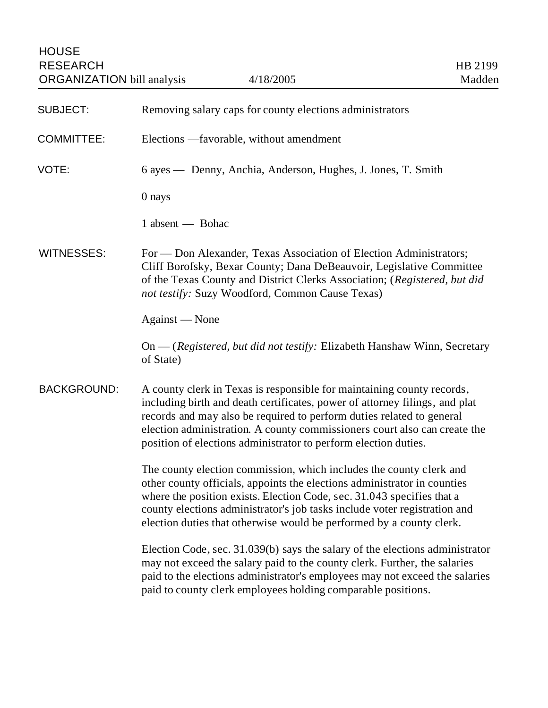| <b>SUBJECT:</b>    | Removing salary caps for county elections administrators                                                                                                                                                                                                                                                                                                                       |
|--------------------|--------------------------------------------------------------------------------------------------------------------------------------------------------------------------------------------------------------------------------------------------------------------------------------------------------------------------------------------------------------------------------|
| <b>COMMITTEE:</b>  | Elections —favorable, without amendment                                                                                                                                                                                                                                                                                                                                        |
| VOTE:              | 6 ayes — Denny, Anchia, Anderson, Hughes, J. Jones, T. Smith                                                                                                                                                                                                                                                                                                                   |
|                    | 0 nays                                                                                                                                                                                                                                                                                                                                                                         |
|                    | 1 absent — Bohac                                                                                                                                                                                                                                                                                                                                                               |
| <b>WITNESSES:</b>  | For — Don Alexander, Texas Association of Election Administrators;<br>Cliff Borofsky, Bexar County; Dana DeBeauvoir, Legislative Committee<br>of the Texas County and District Clerks Association; (Registered, but did<br>not testify: Suzy Woodford, Common Cause Texas)                                                                                                     |
|                    | Against — None                                                                                                                                                                                                                                                                                                                                                                 |
|                    | On — (Registered, but did not testify: Elizabeth Hanshaw Winn, Secretary<br>of State)                                                                                                                                                                                                                                                                                          |
| <b>BACKGROUND:</b> | A county clerk in Texas is responsible for maintaining county records,<br>including birth and death certificates, power of attorney filings, and plat<br>records and may also be required to perform duties related to general<br>election administration. A county commissioners court also can create the<br>position of elections administrator to perform election duties. |
|                    | The county election commission, which includes the county clerk and<br>other county officials, appoints the elections administrator in counties<br>where the position exists. Election Code, sec. 31.043 specifies that a<br>county elections administrator's job tasks include voter registration and<br>election duties that otherwise would be performed by a county clerk. |
|                    | Election Code, sec. 31.039(b) says the salary of the elections administrator<br>may not exceed the salary paid to the county clerk. Further, the salaries<br>paid to the elections administrator's employees may not exceed the salaries<br>paid to county clerk employees holding comparable positions.                                                                       |